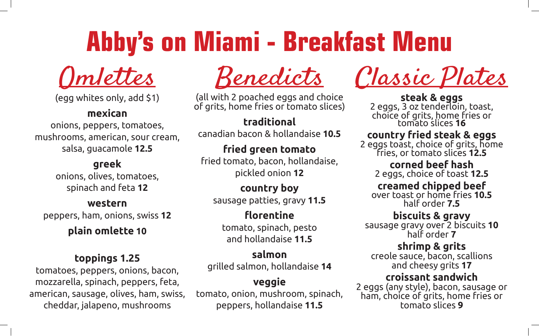# **Abby's on Miami - Breakfast Menu**



(egg whites only, add \$1)

#### **mexican**

onions, peppers, tomatoes, mushrooms, american, sour cream, salsa, guacamole **12.5**

#### **greek**

onions, olives, tomatoes, spinach and feta **12**

# **western**

peppers, ham, onions, swiss **12**

#### **plain omlette 10**

#### **toppings 1.25**

tomatoes, peppers, onions, bacon, mozzarella, spinach, peppers, feta, american, sausage, olives, ham, swiss, cheddar, jalapeno, mushrooms

(all with 2 poached eggs and choice of grits, home fries or tomato slices)

**traditional** canadian bacon & hollandaise **10.5**

#### **fried green tomato** fried tomato, bacon, hollandaise, pickled onion **12**

**country boy** sausage patties, gravy **11.5**

**florentine** tomato, spinach, pesto and hollandaise **11.5**

#### **salmon** grilled salmon, hollandaise **14**

# **veggie**

tomato, onion, mushroom, spinach, peppers, hollandaise **11.5**

<u>Benedicts</u> Classic Plates

**steak & eggs**<br>2 eggs, 3 oz tenderloin, toast, choice of grits, home fries or tomato slices **<sup>16</sup>**

#### **country fried steak & eggs**

2 eggs toast, choice of grits, home fries, or tomato slices **12.5**

**corned beef hash** 2 eggs, choice of toast **12.5**

#### **creamed chipped beef** over toast or home fries **10.5** half order **7.5**

**biscuits & gravy**

sausage gravy over 2 biscuits **10** half order **7**

#### **shrimp & grits**

creole sauce, bacon, scallions and cheesy grits **17**

#### **croissant sandwich**

2 eggs (any style), bacon, sausage or ham, choice of grits, home fries or tomato slices **9**